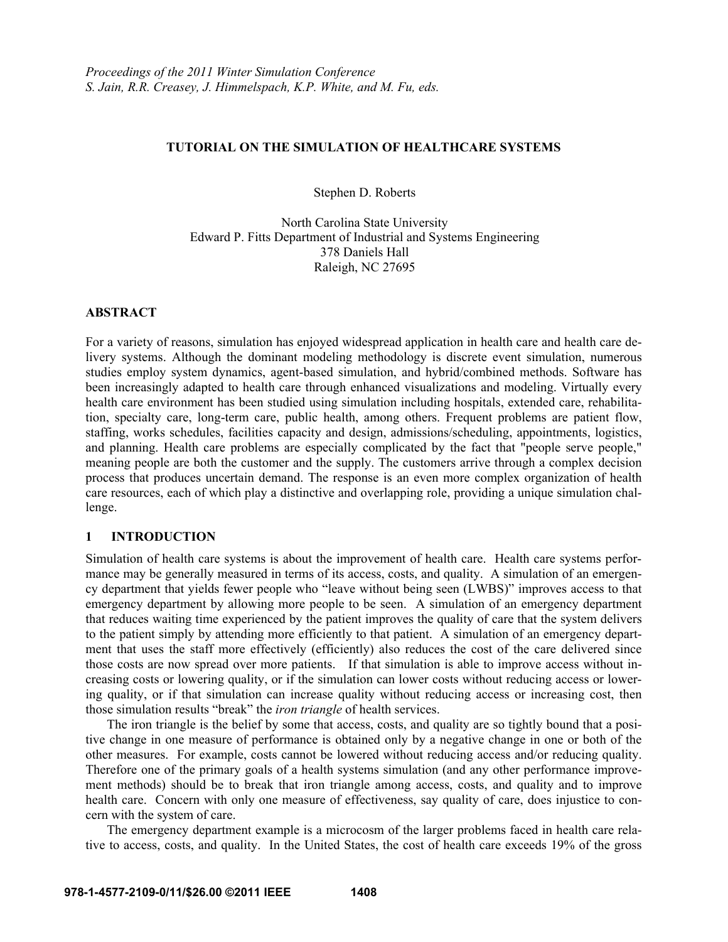#### **TUTORIAL ON THE SIMULATION OF HEALTHCARE SYSTEMS**

Stephen D. Roberts

North Carolina State University Edward P. Fitts Department of Industrial and Systems Engineering 378 Daniels Hall Raleigh, NC 27695

#### **ABSTRACT**

For a variety of reasons, simulation has enjoyed widespread application in health care and health care delivery systems. Although the dominant modeling methodology is discrete event simulation, numerous studies employ system dynamics, agent-based simulation, and hybrid/combined methods. Software has been increasingly adapted to health care through enhanced visualizations and modeling. Virtually every health care environment has been studied using simulation including hospitals, extended care, rehabilitation, specialty care, long-term care, public health, among others. Frequent problems are patient flow, staffing, works schedules, facilities capacity and design, admissions/scheduling, appointments, logistics, and planning. Health care problems are especially complicated by the fact that "people serve people," meaning people are both the customer and the supply. The customers arrive through a complex decision process that produces uncertain demand. The response is an even more complex organization of health care resources, each of which play a distinctive and overlapping role, providing a unique simulation challenge.

### **1 INTRODUCTION**

Simulation of health care systems is about the improvement of health care. Health care systems performance may be generally measured in terms of its access, costs, and quality. A simulation of an emergency department that yields fewer people who "leave without being seen (LWBS)" improves access to that emergency department by allowing more people to be seen. A simulation of an emergency department that reduces waiting time experienced by the patient improves the quality of care that the system delivers to the patient simply by attending more efficiently to that patient. A simulation of an emergency department that uses the staff more effectively (efficiently) also reduces the cost of the care delivered since those costs are now spread over more patients. If that simulation is able to improve access without increasing costs or lowering quality, or if the simulation can lower costs without reducing access or lowering quality, or if that simulation can increase quality without reducing access or increasing cost, then those simulation results "break" the *iron triangle* of health services.

The iron triangle is the belief by some that access, costs, and quality are so tightly bound that a positive change in one measure of performance is obtained only by a negative change in one or both of the other measures. For example, costs cannot be lowered without reducing access and/or reducing quality. Therefore one of the primary goals of a health systems simulation (and any other performance improvement methods) should be to break that iron triangle among access, costs, and quality and to improve health care. Concern with only one measure of effectiveness, say quality of care, does injustice to concern with the system of care.

The emergency department example is a microcosm of the larger problems faced in health care relative to access, costs, and quality. In the United States, the cost of health care exceeds 19% of the gross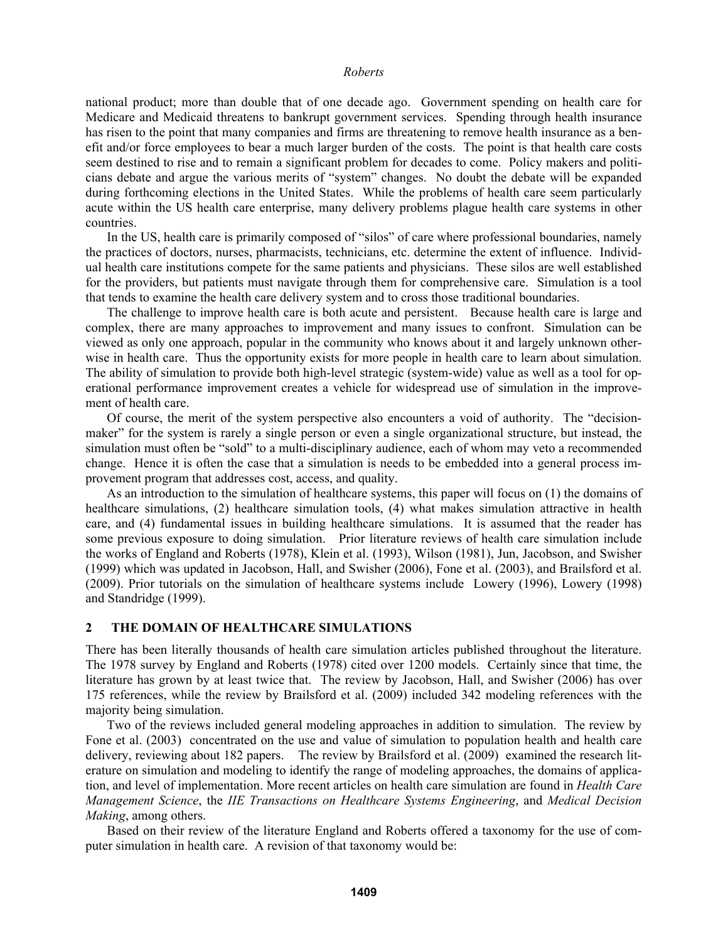national product; more than double that of one decade ago. Government spending on health care for Medicare and Medicaid threatens to bankrupt government services. Spending through health insurance has risen to the point that many companies and firms are threatening to remove health insurance as a benefit and/or force employees to bear a much larger burden of the costs. The point is that health care costs seem destined to rise and to remain a significant problem for decades to come. Policy makers and politicians debate and argue the various merits of "system" changes. No doubt the debate will be expanded during forthcoming elections in the United States. While the problems of health care seem particularly acute within the US health care enterprise, many delivery problems plague health care systems in other countries.

 In the US, health care is primarily composed of "silos" of care where professional boundaries, namely the practices of doctors, nurses, pharmacists, technicians, etc. determine the extent of influence. Individual health care institutions compete for the same patients and physicians. These silos are well established for the providers, but patients must navigate through them for comprehensive care. Simulation is a tool that tends to examine the health care delivery system and to cross those traditional boundaries.

 The challenge to improve health care is both acute and persistent. Because health care is large and complex, there are many approaches to improvement and many issues to confront. Simulation can be viewed as only one approach, popular in the community who knows about it and largely unknown otherwise in health care. Thus the opportunity exists for more people in health care to learn about simulation. The ability of simulation to provide both high-level strategic (system-wide) value as well as a tool for operational performance improvement creates a vehicle for widespread use of simulation in the improvement of health care.

 Of course, the merit of the system perspective also encounters a void of authority. The "decisionmaker" for the system is rarely a single person or even a single organizational structure, but instead, the simulation must often be "sold" to a multi-disciplinary audience, each of whom may veto a recommended change. Hence it is often the case that a simulation is needs to be embedded into a general process improvement program that addresses cost, access, and quality.

 As an introduction to the simulation of healthcare systems, this paper will focus on (1) the domains of healthcare simulations, (2) healthcare simulation tools, (4) what makes simulation attractive in health care, and (4) fundamental issues in building healthcare simulations. It is assumed that the reader has some previous exposure to doing simulation. Prior literature reviews of health care simulation include the works of England and Roberts (1978), Klein et al. (1993), Wilson (1981), Jun, Jacobson, and Swisher (1999) which was updated in Jacobson, Hall, and Swisher (2006), Fone et al. (2003), and Brailsford et al. (2009). Prior tutorials on the simulation of healthcare systems include Lowery (1996), Lowery (1998) and Standridge (1999).

#### **2 THE DOMAIN OF HEALTHCARE SIMULATIONS**

There has been literally thousands of health care simulation articles published throughout the literature. The 1978 survey by England and Roberts (1978) cited over 1200 models. Certainly since that time, the literature has grown by at least twice that. The review by Jacobson, Hall, and Swisher (2006) has over 175 references, while the review by Brailsford et al. (2009) included 342 modeling references with the majority being simulation.

 Two of the reviews included general modeling approaches in addition to simulation. The review by Fone et al. (2003) concentrated on the use and value of simulation to population health and health care delivery, reviewing about 182 papers. The review by Brailsford et al. (2009) examined the research literature on simulation and modeling to identify the range of modeling approaches, the domains of application, and level of implementation. More recent articles on health care simulation are found in *Health Care Management Science*, the *IIE Transactions on Healthcare Systems Engineering*, and *Medical Decision Making*, among others.

 Based on their review of the literature England and Roberts offered a taxonomy for the use of computer simulation in health care. A revision of that taxonomy would be: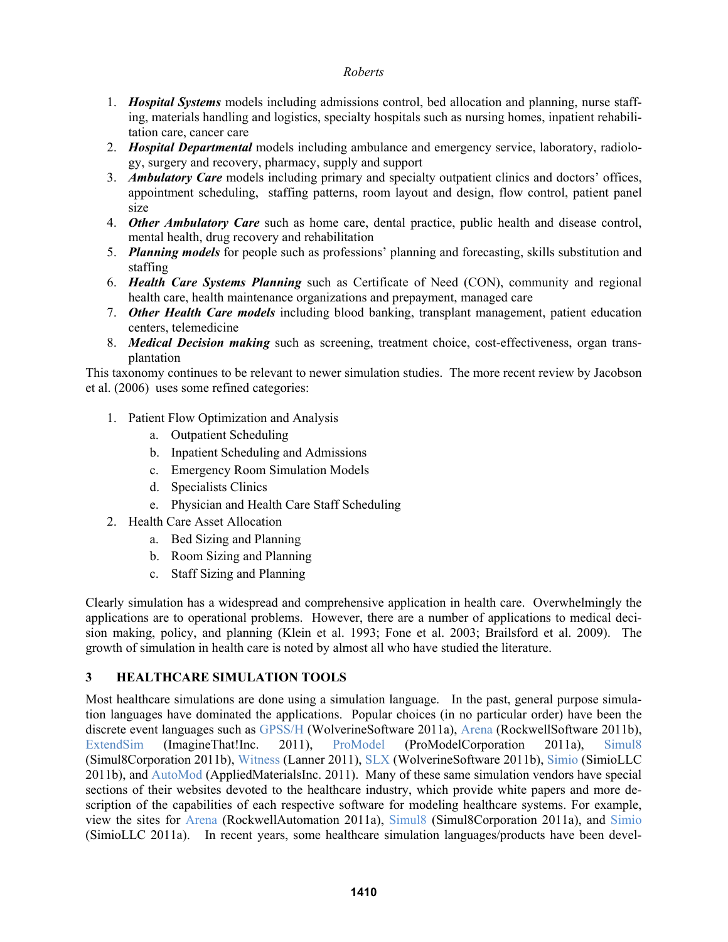- 1. *Hospital Systems* models including admissions control, bed allocation and planning, nurse staffing, materials handling and logistics, specialty hospitals such as nursing homes, inpatient rehabilitation care, cancer care
- 2. *Hospital Departmental* models including ambulance and emergency service, laboratory, radiology, surgery and recovery, pharmacy, supply and support
- 3. *Ambulatory Care* models including primary and specialty outpatient clinics and doctors' offices, appointment scheduling, staffing patterns, room layout and design, flow control, patient panel size
- 4. *Other Ambulatory Care* such as home care, dental practice, public health and disease control, mental health, drug recovery and rehabilitation
- 5. *Planning models* for people such as professions' planning and forecasting, skills substitution and staffing
- 6. *Health Care Systems Planning* such as Certificate of Need (CON), community and regional health care, health maintenance organizations and prepayment, managed care
- 7. *Other Health Care models* including blood banking, transplant management, patient education centers, telemedicine
- 8. *Medical Decision making* such as screening, treatment choice, cost-effectiveness, organ transplantation

This taxonomy continues to be relevant to newer simulation studies. The more recent review by Jacobson et al. (2006) uses some refined categories:

- 1. Patient Flow Optimization and Analysis
	- a. Outpatient Scheduling
	- b. Inpatient Scheduling and Admissions
	- c. Emergency Room Simulation Models
	- d. Specialists Clinics
	- e. Physician and Health Care Staff Scheduling
- 2. Health Care Asset Allocation
	- a. Bed Sizing and Planning
	- b. Room Sizing and Planning
	- c. Staff Sizing and Planning

Clearly simulation has a widespread and comprehensive application in health care. Overwhelmingly the applications are to operational problems. However, there are a number of applications to medical decision making, policy, and planning (Klein et al. 1993; Fone et al. 2003; Brailsford et al. 2009). The growth of simulation in health care is noted by almost all who have studied the literature.

# **3 HEALTHCARE SIMULATION TOOLS**

Most healthcare simulations are done using a simulation language. In the past, general purpose simulation languages have dominated the applications. Popular choices (in no particular order) have been the discrete event languages such as GPSS/H (WolverineSoftware 2011a), Arena (RockwellSoftware 2011b), ExtendSim (ImagineThat!Inc. 2011), ProModel (ProModelCorporation 2011a), Simul8 (Simul8Corporation 2011b), Witness (Lanner 2011), SLX (WolverineSoftware 2011b), Simio (SimioLLC 2011b), and AutoMod (AppliedMaterialsInc. 2011). Many of these same simulation vendors have special sections of their websites devoted to the healthcare industry, which provide white papers and more description of the capabilities of each respective software for modeling healthcare systems. For example, view the sites for Arena (RockwellAutomation 2011a), Simul8 (Simul8Corporation 2011a), and Simio (SimioLLC 2011a). In recent years, some healthcare simulation languages/products have been devel-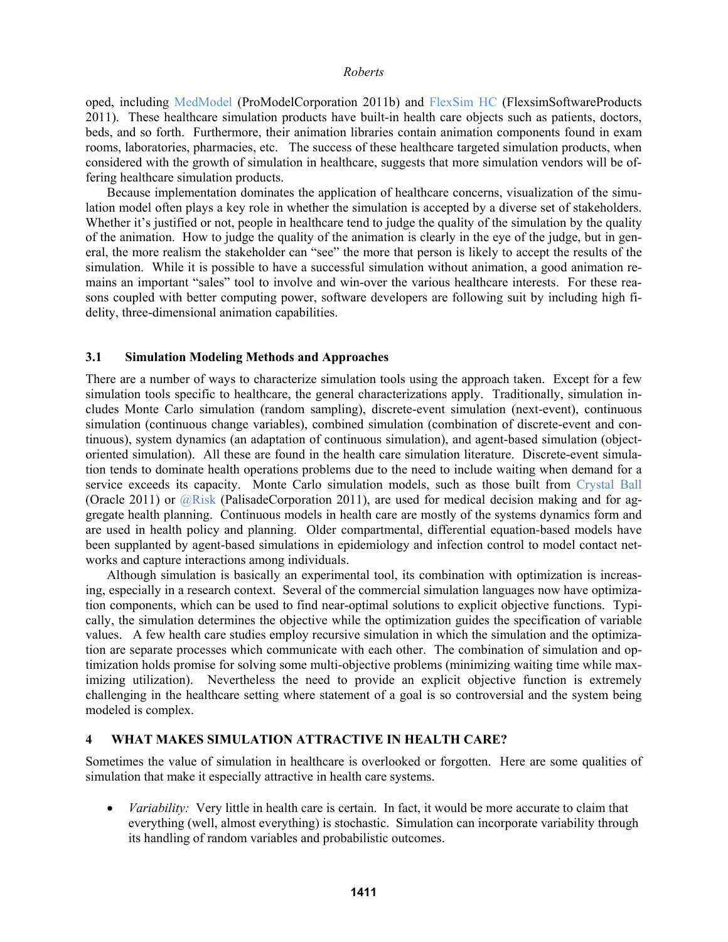oped, including MedModel (ProModelCorporation 2011b) and FlexSim HC (FlexsimSoftwareProducts 2011). These healthcare simulation products have built-in health care objects such as patients, doctors, beds, and so forth. Furthermore, their animation libraries contain animation components found in exam rooms, laboratories, pharmacies, etc. The success of these healthcare targeted simulation products, when considered with the growth of simulation in healthcare, suggests that more simulation vendors will be offering healthcare simulation products.

 Because implementation dominates the application of healthcare concerns, visualization of the simulation model often plays a key role in whether the simulation is accepted by a diverse set of stakeholders. Whether it's justified or not, people in healthcare tend to judge the quality of the simulation by the quality of the animation. How to judge the quality of the animation is clearly in the eye of the judge, but in general, the more realism the stakeholder can "see" the more that person is likely to accept the results of the simulation. While it is possible to have a successful simulation without animation, a good animation remains an important "sales" tool to involve and win-over the various healthcare interests. For these reasons coupled with better computing power, software developers are following suit by including high fidelity, three-dimensional animation capabilities.

#### **3.1 Simulation Modeling Methods and Approaches**

There are a number of ways to characterize simulation tools using the approach taken. Except for a few simulation tools specific to healthcare, the general characterizations apply. Traditionally, simulation includes Monte Carlo simulation (random sampling), discrete-event simulation (next-event), continuous simulation (continuous change variables), combined simulation (combination of discrete-event and continuous), system dynamics (an adaptation of continuous simulation), and agent-based simulation (objectoriented simulation). All these are found in the health care simulation literature. Discrete-event simulation tends to dominate health operations problems due to the need to include waiting when demand for a service exceeds its capacity. Monte Carlo simulation models, such as those built from Crystal Ball (Oracle 2011) or  $\widehat{\omega}$ Risk (PalisadeCorporation 2011), are used for medical decision making and for aggregate health planning. Continuous models in health care are mostly of the systems dynamics form and are used in health policy and planning. Older compartmental, differential equation-based models have been supplanted by agent-based simulations in epidemiology and infection control to model contact networks and capture interactions among individuals.

 Although simulation is basically an experimental tool, its combination with optimization is increasing, especially in a research context. Several of the commercial simulation languages now have optimization components, which can be used to find near-optimal solutions to explicit objective functions. Typically, the simulation determines the objective while the optimization guides the specification of variable values. A few health care studies employ recursive simulation in which the simulation and the optimization are separate processes which communicate with each other. The combination of simulation and optimization holds promise for solving some multi-objective problems (minimizing waiting time while maximizing utilization). Nevertheless the need to provide an explicit objective function is extremely challenging in the healthcare setting where statement of a goal is so controversial and the system being modeled is complex.

### **4 WHAT MAKES SIMULATION ATTRACTIVE IN HEALTH CARE?**

Sometimes the value of simulation in healthcare is overlooked or forgotten. Here are some qualities of simulation that make it especially attractive in health care systems.

 *Variability:* Very little in health care is certain. In fact, it would be more accurate to claim that everything (well, almost everything) is stochastic. Simulation can incorporate variability through its handling of random variables and probabilistic outcomes.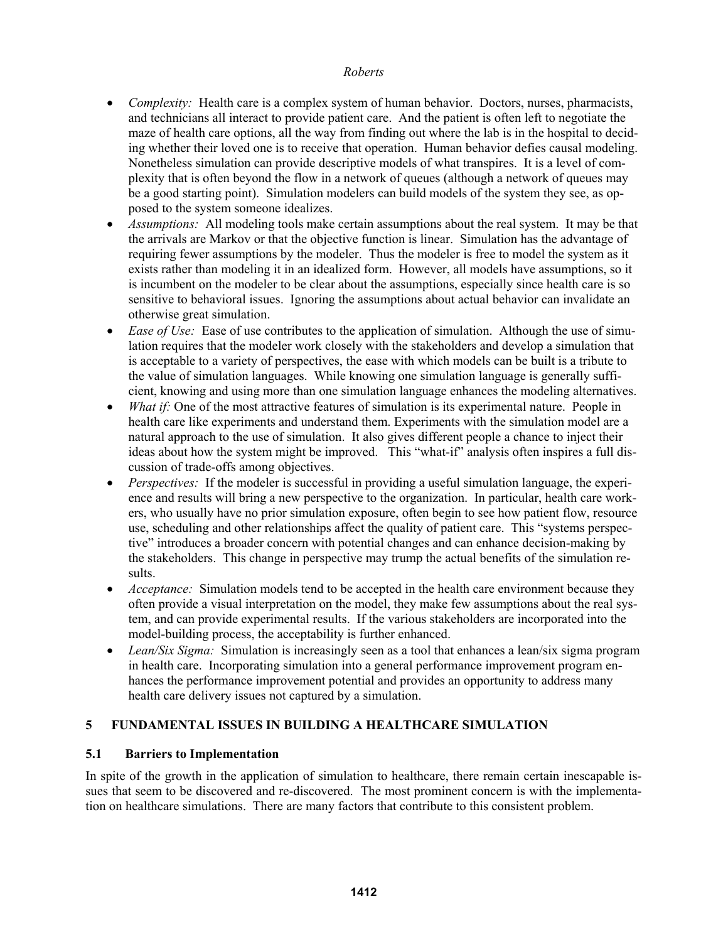- *Complexity:* Health care is a complex system of human behavior. Doctors, nurses, pharmacists, and technicians all interact to provide patient care. And the patient is often left to negotiate the maze of health care options, all the way from finding out where the lab is in the hospital to deciding whether their loved one is to receive that operation. Human behavior defies causal modeling. Nonetheless simulation can provide descriptive models of what transpires. It is a level of complexity that is often beyond the flow in a network of queues (although a network of queues may be a good starting point). Simulation modelers can build models of the system they see, as opposed to the system someone idealizes.
- *Assumptions:* All modeling tools make certain assumptions about the real system. It may be that the arrivals are Markov or that the objective function is linear. Simulation has the advantage of requiring fewer assumptions by the modeler. Thus the modeler is free to model the system as it exists rather than modeling it in an idealized form. However, all models have assumptions, so it is incumbent on the modeler to be clear about the assumptions, especially since health care is so sensitive to behavioral issues. Ignoring the assumptions about actual behavior can invalidate an otherwise great simulation.
- *Ease of Use:* Ease of use contributes to the application of simulation. Although the use of simulation requires that the modeler work closely with the stakeholders and develop a simulation that is acceptable to a variety of perspectives, the ease with which models can be built is a tribute to the value of simulation languages. While knowing one simulation language is generally sufficient, knowing and using more than one simulation language enhances the modeling alternatives.
- *What if:* One of the most attractive features of simulation is its experimental nature. People in health care like experiments and understand them. Experiments with the simulation model are a natural approach to the use of simulation. It also gives different people a chance to inject their ideas about how the system might be improved. This "what-if" analysis often inspires a full discussion of trade-offs among objectives.
- *Perspectives:* If the modeler is successful in providing a useful simulation language, the experience and results will bring a new perspective to the organization. In particular, health care workers, who usually have no prior simulation exposure, often begin to see how patient flow, resource use, scheduling and other relationships affect the quality of patient care. This "systems perspective" introduces a broader concern with potential changes and can enhance decision-making by the stakeholders. This change in perspective may trump the actual benefits of the simulation results.
- *Acceptance:* Simulation models tend to be accepted in the health care environment because they often provide a visual interpretation on the model, they make few assumptions about the real system, and can provide experimental results. If the various stakeholders are incorporated into the model-building process, the acceptability is further enhanced.
- Lean/Six Sigma: Simulation is increasingly seen as a tool that enhances a lean/six sigma program in health care. Incorporating simulation into a general performance improvement program enhances the performance improvement potential and provides an opportunity to address many health care delivery issues not captured by a simulation.

# **5 FUNDAMENTAL ISSUES IN BUILDING A HEALTHCARE SIMULATION**

### **5.1 Barriers to Implementation**

In spite of the growth in the application of simulation to healthcare, there remain certain inescapable issues that seem to be discovered and re-discovered. The most prominent concern is with the implementation on healthcare simulations. There are many factors that contribute to this consistent problem.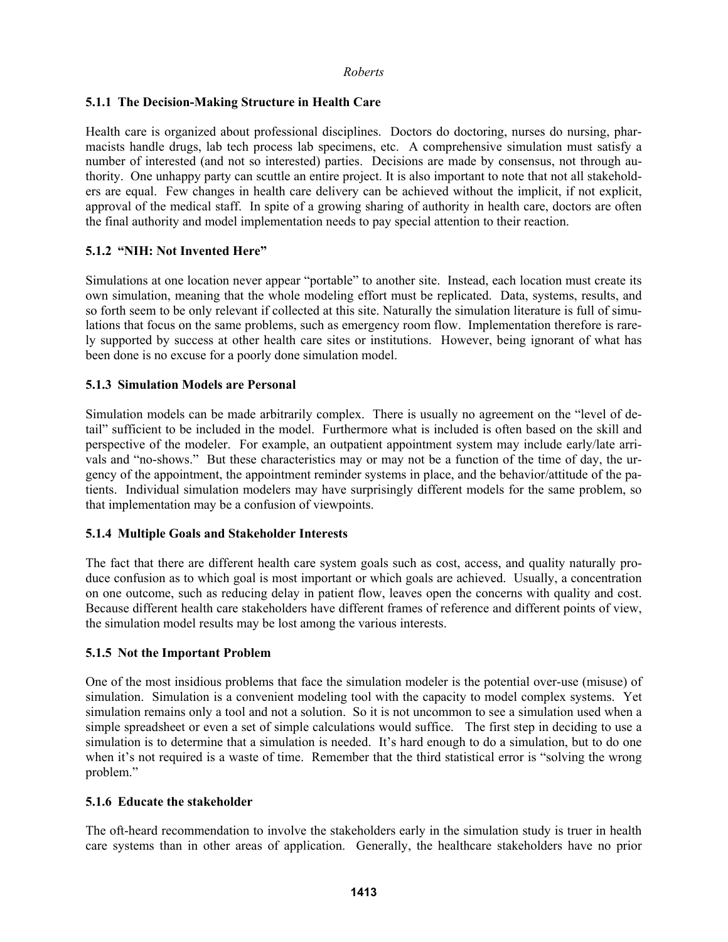# **5.1.1 The Decision-Making Structure in Health Care**

Health care is organized about professional disciplines. Doctors do doctoring, nurses do nursing, pharmacists handle drugs, lab tech process lab specimens, etc. A comprehensive simulation must satisfy a number of interested (and not so interested) parties. Decisions are made by consensus, not through authority. One unhappy party can scuttle an entire project. It is also important to note that not all stakeholders are equal. Few changes in health care delivery can be achieved without the implicit, if not explicit, approval of the medical staff. In spite of a growing sharing of authority in health care, doctors are often the final authority and model implementation needs to pay special attention to their reaction.

# **5.1.2 "NIH: Not Invented Here"**

Simulations at one location never appear "portable" to another site. Instead, each location must create its own simulation, meaning that the whole modeling effort must be replicated. Data, systems, results, and so forth seem to be only relevant if collected at this site. Naturally the simulation literature is full of simulations that focus on the same problems, such as emergency room flow. Implementation therefore is rarely supported by success at other health care sites or institutions. However, being ignorant of what has been done is no excuse for a poorly done simulation model.

### **5.1.3 Simulation Models are Personal**

Simulation models can be made arbitrarily complex. There is usually no agreement on the "level of detail" sufficient to be included in the model. Furthermore what is included is often based on the skill and perspective of the modeler. For example, an outpatient appointment system may include early/late arrivals and "no-shows." But these characteristics may or may not be a function of the time of day, the urgency of the appointment, the appointment reminder systems in place, and the behavior/attitude of the patients. Individual simulation modelers may have surprisingly different models for the same problem, so that implementation may be a confusion of viewpoints.

### **5.1.4 Multiple Goals and Stakeholder Interests**

The fact that there are different health care system goals such as cost, access, and quality naturally produce confusion as to which goal is most important or which goals are achieved. Usually, a concentration on one outcome, such as reducing delay in patient flow, leaves open the concerns with quality and cost. Because different health care stakeholders have different frames of reference and different points of view, the simulation model results may be lost among the various interests.

### **5.1.5 Not the Important Problem**

One of the most insidious problems that face the simulation modeler is the potential over-use (misuse) of simulation. Simulation is a convenient modeling tool with the capacity to model complex systems. Yet simulation remains only a tool and not a solution. So it is not uncommon to see a simulation used when a simple spreadsheet or even a set of simple calculations would suffice. The first step in deciding to use a simulation is to determine that a simulation is needed. It's hard enough to do a simulation, but to do one when it's not required is a waste of time. Remember that the third statistical error is "solving the wrong" problem."

### **5.1.6 Educate the stakeholder**

The oft-heard recommendation to involve the stakeholders early in the simulation study is truer in health care systems than in other areas of application. Generally, the healthcare stakeholders have no prior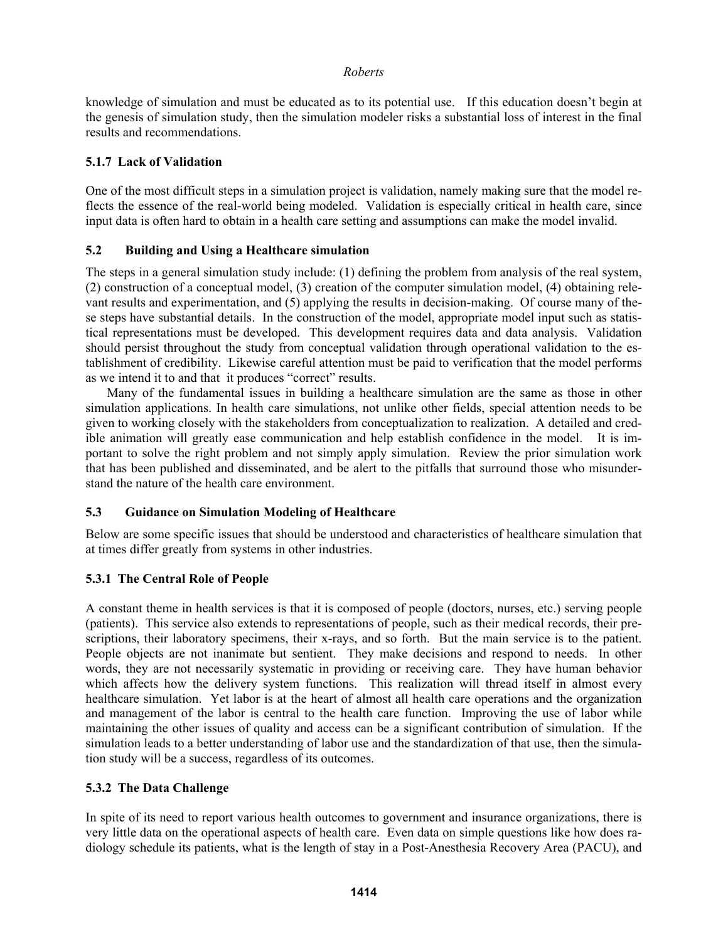knowledge of simulation and must be educated as to its potential use. If this education doesn't begin at the genesis of simulation study, then the simulation modeler risks a substantial loss of interest in the final results and recommendations.

### **5.1.7 Lack of Validation**

One of the most difficult steps in a simulation project is validation, namely making sure that the model reflects the essence of the real-world being modeled. Validation is especially critical in health care, since input data is often hard to obtain in a health care setting and assumptions can make the model invalid.

### **5.2 Building and Using a Healthcare simulation**

The steps in a general simulation study include: (1) defining the problem from analysis of the real system, (2) construction of a conceptual model, (3) creation of the computer simulation model, (4) obtaining relevant results and experimentation, and (5) applying the results in decision-making. Of course many of these steps have substantial details. In the construction of the model, appropriate model input such as statistical representations must be developed. This development requires data and data analysis. Validation should persist throughout the study from conceptual validation through operational validation to the establishment of credibility. Likewise careful attention must be paid to verification that the model performs as we intend it to and that it produces "correct" results.

Many of the fundamental issues in building a healthcare simulation are the same as those in other simulation applications. In health care simulations, not unlike other fields, special attention needs to be given to working closely with the stakeholders from conceptualization to realization. A detailed and credible animation will greatly ease communication and help establish confidence in the model. It is important to solve the right problem and not simply apply simulation. Review the prior simulation work that has been published and disseminated, and be alert to the pitfalls that surround those who misunderstand the nature of the health care environment.

# **5.3 Guidance on Simulation Modeling of Healthcare**

Below are some specific issues that should be understood and characteristics of healthcare simulation that at times differ greatly from systems in other industries.

# **5.3.1 The Central Role of People**

A constant theme in health services is that it is composed of people (doctors, nurses, etc.) serving people (patients). This service also extends to representations of people, such as their medical records, their prescriptions, their laboratory specimens, their x-rays, and so forth. But the main service is to the patient. People objects are not inanimate but sentient. They make decisions and respond to needs. In other words, they are not necessarily systematic in providing or receiving care. They have human behavior which affects how the delivery system functions. This realization will thread itself in almost every healthcare simulation. Yet labor is at the heart of almost all health care operations and the organization and management of the labor is central to the health care function. Improving the use of labor while maintaining the other issues of quality and access can be a significant contribution of simulation. If the simulation leads to a better understanding of labor use and the standardization of that use, then the simulation study will be a success, regardless of its outcomes.

### **5.3.2 The Data Challenge**

In spite of its need to report various health outcomes to government and insurance organizations, there is very little data on the operational aspects of health care. Even data on simple questions like how does radiology schedule its patients, what is the length of stay in a Post-Anesthesia Recovery Area (PACU), and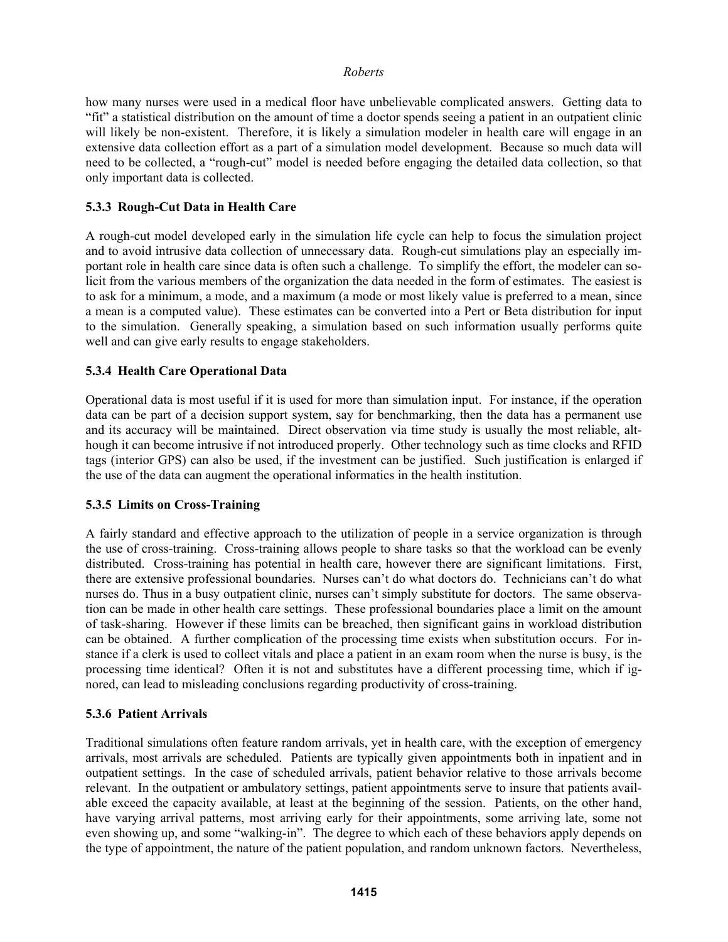how many nurses were used in a medical floor have unbelievable complicated answers. Getting data to "fit" a statistical distribution on the amount of time a doctor spends seeing a patient in an outpatient clinic will likely be non-existent. Therefore, it is likely a simulation modeler in health care will engage in an extensive data collection effort as a part of a simulation model development. Because so much data will need to be collected, a "rough-cut" model is needed before engaging the detailed data collection, so that only important data is collected.

# **5.3.3 Rough-Cut Data in Health Care**

A rough-cut model developed early in the simulation life cycle can help to focus the simulation project and to avoid intrusive data collection of unnecessary data. Rough-cut simulations play an especially important role in health care since data is often such a challenge. To simplify the effort, the modeler can solicit from the various members of the organization the data needed in the form of estimates. The easiest is to ask for a minimum, a mode, and a maximum (a mode or most likely value is preferred to a mean, since a mean is a computed value). These estimates can be converted into a Pert or Beta distribution for input to the simulation. Generally speaking, a simulation based on such information usually performs quite well and can give early results to engage stakeholders.

### **5.3.4 Health Care Operational Data**

Operational data is most useful if it is used for more than simulation input. For instance, if the operation data can be part of a decision support system, say for benchmarking, then the data has a permanent use and its accuracy will be maintained. Direct observation via time study is usually the most reliable, although it can become intrusive if not introduced properly. Other technology such as time clocks and RFID tags (interior GPS) can also be used, if the investment can be justified. Such justification is enlarged if the use of the data can augment the operational informatics in the health institution.

### **5.3.5 Limits on Cross-Training**

A fairly standard and effective approach to the utilization of people in a service organization is through the use of cross-training. Cross-training allows people to share tasks so that the workload can be evenly distributed. Cross-training has potential in health care, however there are significant limitations. First, there are extensive professional boundaries. Nurses can't do what doctors do. Technicians can't do what nurses do. Thus in a busy outpatient clinic, nurses can't simply substitute for doctors. The same observation can be made in other health care settings. These professional boundaries place a limit on the amount of task-sharing. However if these limits can be breached, then significant gains in workload distribution can be obtained. A further complication of the processing time exists when substitution occurs. For instance if a clerk is used to collect vitals and place a patient in an exam room when the nurse is busy, is the processing time identical? Often it is not and substitutes have a different processing time, which if ignored, can lead to misleading conclusions regarding productivity of cross-training.

### **5.3.6 Patient Arrivals**

Traditional simulations often feature random arrivals, yet in health care, with the exception of emergency arrivals, most arrivals are scheduled. Patients are typically given appointments both in inpatient and in outpatient settings. In the case of scheduled arrivals, patient behavior relative to those arrivals become relevant. In the outpatient or ambulatory settings, patient appointments serve to insure that patients available exceed the capacity available, at least at the beginning of the session. Patients, on the other hand, have varying arrival patterns, most arriving early for their appointments, some arriving late, some not even showing up, and some "walking-in". The degree to which each of these behaviors apply depends on the type of appointment, the nature of the patient population, and random unknown factors. Nevertheless,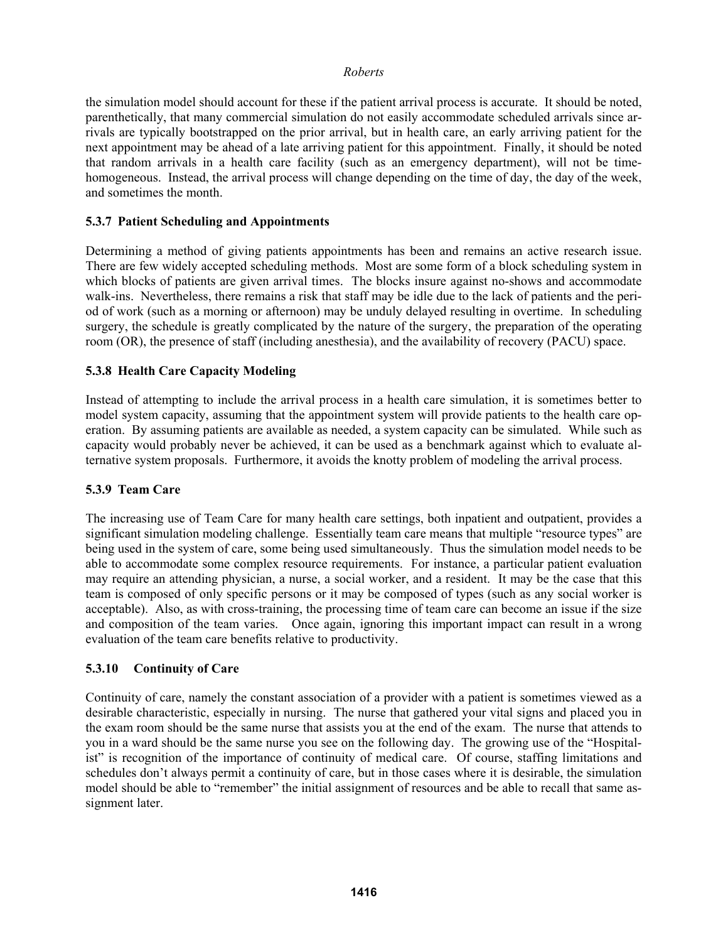the simulation model should account for these if the patient arrival process is accurate. It should be noted, parenthetically, that many commercial simulation do not easily accommodate scheduled arrivals since arrivals are typically bootstrapped on the prior arrival, but in health care, an early arriving patient for the next appointment may be ahead of a late arriving patient for this appointment. Finally, it should be noted that random arrivals in a health care facility (such as an emergency department), will not be timehomogeneous. Instead, the arrival process will change depending on the time of day, the day of the week, and sometimes the month.

### **5.3.7 Patient Scheduling and Appointments**

Determining a method of giving patients appointments has been and remains an active research issue. There are few widely accepted scheduling methods. Most are some form of a block scheduling system in which blocks of patients are given arrival times. The blocks insure against no-shows and accommodate walk-ins. Nevertheless, there remains a risk that staff may be idle due to the lack of patients and the period of work (such as a morning or afternoon) may be unduly delayed resulting in overtime. In scheduling surgery, the schedule is greatly complicated by the nature of the surgery, the preparation of the operating room (OR), the presence of staff (including anesthesia), and the availability of recovery (PACU) space.

### **5.3.8 Health Care Capacity Modeling**

Instead of attempting to include the arrival process in a health care simulation, it is sometimes better to model system capacity, assuming that the appointment system will provide patients to the health care operation. By assuming patients are available as needed, a system capacity can be simulated. While such as capacity would probably never be achieved, it can be used as a benchmark against which to evaluate alternative system proposals. Furthermore, it avoids the knotty problem of modeling the arrival process.

### **5.3.9 Team Care**

The increasing use of Team Care for many health care settings, both inpatient and outpatient, provides a significant simulation modeling challenge. Essentially team care means that multiple "resource types" are being used in the system of care, some being used simultaneously. Thus the simulation model needs to be able to accommodate some complex resource requirements. For instance, a particular patient evaluation may require an attending physician, a nurse, a social worker, and a resident. It may be the case that this team is composed of only specific persons or it may be composed of types (such as any social worker is acceptable). Also, as with cross-training, the processing time of team care can become an issue if the size and composition of the team varies. Once again, ignoring this important impact can result in a wrong evaluation of the team care benefits relative to productivity.

# **5.3.10 Continuity of Care**

Continuity of care, namely the constant association of a provider with a patient is sometimes viewed as a desirable characteristic, especially in nursing. The nurse that gathered your vital signs and placed you in the exam room should be the same nurse that assists you at the end of the exam. The nurse that attends to you in a ward should be the same nurse you see on the following day. The growing use of the "Hospitalist" is recognition of the importance of continuity of medical care. Of course, staffing limitations and schedules don't always permit a continuity of care, but in those cases where it is desirable, the simulation model should be able to "remember" the initial assignment of resources and be able to recall that same assignment later.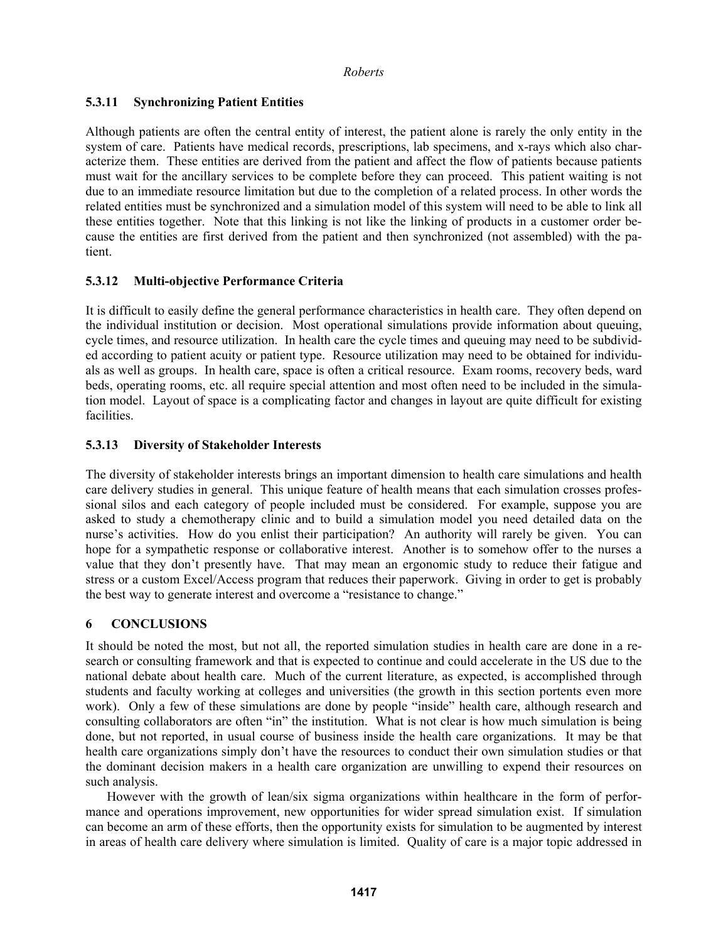# **5.3.11 Synchronizing Patient Entities**

Although patients are often the central entity of interest, the patient alone is rarely the only entity in the system of care. Patients have medical records, prescriptions, lab specimens, and x-rays which also characterize them. These entities are derived from the patient and affect the flow of patients because patients must wait for the ancillary services to be complete before they can proceed. This patient waiting is not due to an immediate resource limitation but due to the completion of a related process. In other words the related entities must be synchronized and a simulation model of this system will need to be able to link all these entities together. Note that this linking is not like the linking of products in a customer order because the entities are first derived from the patient and then synchronized (not assembled) with the patient.

# **5.3.12 Multi-objective Performance Criteria**

It is difficult to easily define the general performance characteristics in health care. They often depend on the individual institution or decision. Most operational simulations provide information about queuing, cycle times, and resource utilization. In health care the cycle times and queuing may need to be subdivided according to patient acuity or patient type. Resource utilization may need to be obtained for individuals as well as groups. In health care, space is often a critical resource. Exam rooms, recovery beds, ward beds, operating rooms, etc. all require special attention and most often need to be included in the simulation model. Layout of space is a complicating factor and changes in layout are quite difficult for existing facilities.

# **5.3.13 Diversity of Stakeholder Interests**

The diversity of stakeholder interests brings an important dimension to health care simulations and health care delivery studies in general. This unique feature of health means that each simulation crosses professional silos and each category of people included must be considered. For example, suppose you are asked to study a chemotherapy clinic and to build a simulation model you need detailed data on the nurse's activities. How do you enlist their participation? An authority will rarely be given. You can hope for a sympathetic response or collaborative interest. Another is to somehow offer to the nurses a value that they don't presently have. That may mean an ergonomic study to reduce their fatigue and stress or a custom Excel/Access program that reduces their paperwork. Giving in order to get is probably the best way to generate interest and overcome a "resistance to change."

# **6 CONCLUSIONS**

It should be noted the most, but not all, the reported simulation studies in health care are done in a research or consulting framework and that is expected to continue and could accelerate in the US due to the national debate about health care. Much of the current literature, as expected, is accomplished through students and faculty working at colleges and universities (the growth in this section portents even more work). Only a few of these simulations are done by people "inside" health care, although research and consulting collaborators are often "in" the institution. What is not clear is how much simulation is being done, but not reported, in usual course of business inside the health care organizations. It may be that health care organizations simply don't have the resources to conduct their own simulation studies or that the dominant decision makers in a health care organization are unwilling to expend their resources on such analysis.

However with the growth of lean/six sigma organizations within healthcare in the form of performance and operations improvement, new opportunities for wider spread simulation exist. If simulation can become an arm of these efforts, then the opportunity exists for simulation to be augmented by interest in areas of health care delivery where simulation is limited. Quality of care is a major topic addressed in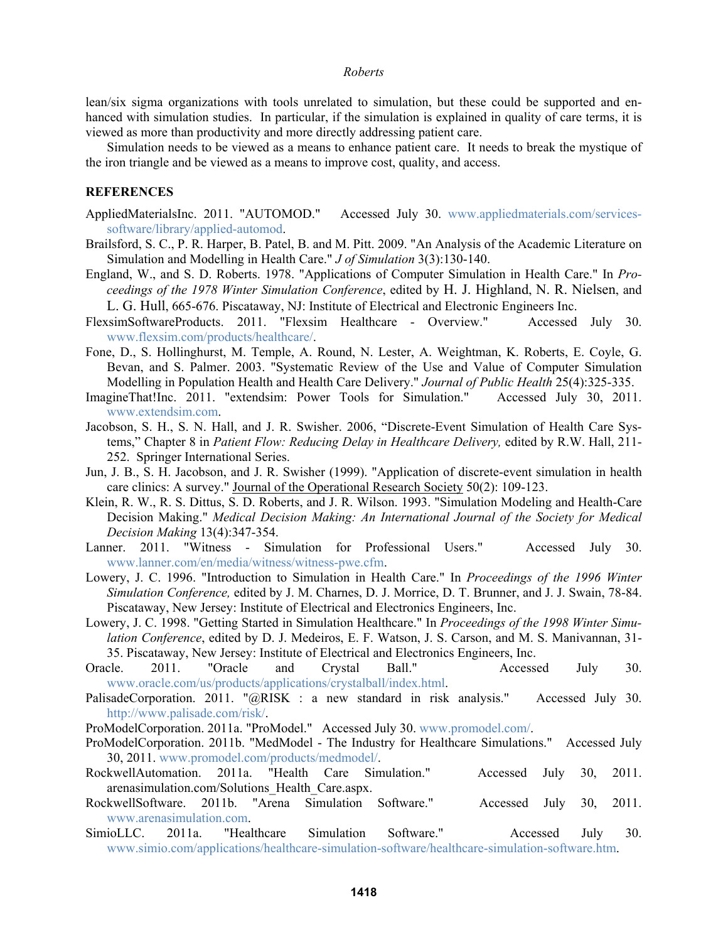lean/six sigma organizations with tools unrelated to simulation, but these could be supported and enhanced with simulation studies. In particular, if the simulation is explained in quality of care terms, it is viewed as more than productivity and more directly addressing patient care.

Simulation needs to be viewed as a means to enhance patient care. It needs to break the mystique of the iron triangle and be viewed as a means to improve cost, quality, and access.

#### **REFERENCES**

- AppliedMaterialsInc. 2011. "AUTOMOD." Accessed July 30. www.appliedmaterials.com/servicessoftware/library/applied-automod.
- Brailsford, S. C., P. R. Harper, B. Patel, B. and M. Pitt. 2009. "An Analysis of the Academic Literature on Simulation and Modelling in Health Care." *J of Simulation* 3(3):130-140.
- England, W., and S. D. Roberts. 1978. "Applications of Computer Simulation in Health Care." In *Proceedings of the 1978 Winter Simulation Conference*, edited by H. J. Highland, N. R. Nielsen, and L. G. Hull, 665-676. Piscataway, NJ: Institute of Electrical and Electronic Engineers Inc.
- FlexsimSoftwareProducts. 2011. "Flexsim Healthcare Overview." Accessed July 30. www.flexsim.com/products/healthcare/.
- Fone, D., S. Hollinghurst, M. Temple, A. Round, N. Lester, A. Weightman, K. Roberts, E. Coyle, G. Bevan, and S. Palmer. 2003. "Systematic Review of the Use and Value of Computer Simulation Modelling in Population Health and Health Care Delivery." *Journal of Public Health* 25(4):325-335.
- ImagineThat!Inc. 2011. "extendsim: Power Tools for Simulation." Accessed July 30, 2011. www.extendsim.com.
- Jacobson, S. H., S. N. Hall, and J. R. Swisher. 2006, "Discrete-Event Simulation of Health Care Systems," Chapter 8 in *Patient Flow: Reducing Delay in Healthcare Delivery,* edited by R.W. Hall, 211- 252. Springer International Series.
- Jun, J. B., S. H. Jacobson, and J. R. Swisher (1999). "Application of discrete-event simulation in health care clinics: A survey." Journal of the Operational Research Society 50(2): 109-123.
- Klein, R. W., R. S. Dittus, S. D. Roberts, and J. R. Wilson. 1993. "Simulation Modeling and Health-Care Decision Making." *Medical Decision Making: An International Journal of the Society for Medical Decision Making* 13(4):347-354.
- Lanner. 2011. "Witness Simulation for Professional Users." Accessed July 30. www.lanner.com/en/media/witness/witness-pwe.cfm.
- Lowery, J. C. 1996. "Introduction to Simulation in Health Care." In *Proceedings of the 1996 Winter Simulation Conference,* edited by J. M. Charnes, D. J. Morrice, D. T. Brunner, and J. J. Swain, 78-84. Piscataway, New Jersey: Institute of Electrical and Electronics Engineers, Inc.
- Lowery, J. C. 1998. "Getting Started in Simulation Healthcare." In *Proceedings of the 1998 Winter Simulation Conference*, edited by D. J. Medeiros, E. F. Watson, J. S. Carson, and M. S. Manivannan, 31- 35. Piscataway, New Jersey: Institute of Electrical and Electronics Engineers, Inc.
- Oracle. 2011. "Oracle and Crystal Ball." Accessed July 30. www.oracle.com/us/products/applications/crystalball/index.html.
- PalisadeCorporation. 2011. "@RISK : a new standard in risk analysis." Accessed July 30. http://www.palisade.com/risk/.
- ProModelCorporation. 2011a. "ProModel." Accessed July 30. www.promodel.com/.
- ProModelCorporation. 2011b. "MedModel The Industry for Healthcare Simulations." Accessed July 30, 2011. www.promodel.com/products/medmodel/.
- RockwellAutomation. 2011a. "Health Care Simulation." Accessed July 30, 2011. arenasimulation.com/Solutions\_Health\_Care.aspx.
- RockwellSoftware. 2011b. "Arena Simulation Software." Accessed July 30, 2011. www.arenasimulation.com.
- SimioLLC. 2011a. "Healthcare Simulation Software." Accessed July 30. www.simio.com/applications/healthcare-simulation-software/healthcare-simulation-software.htm.